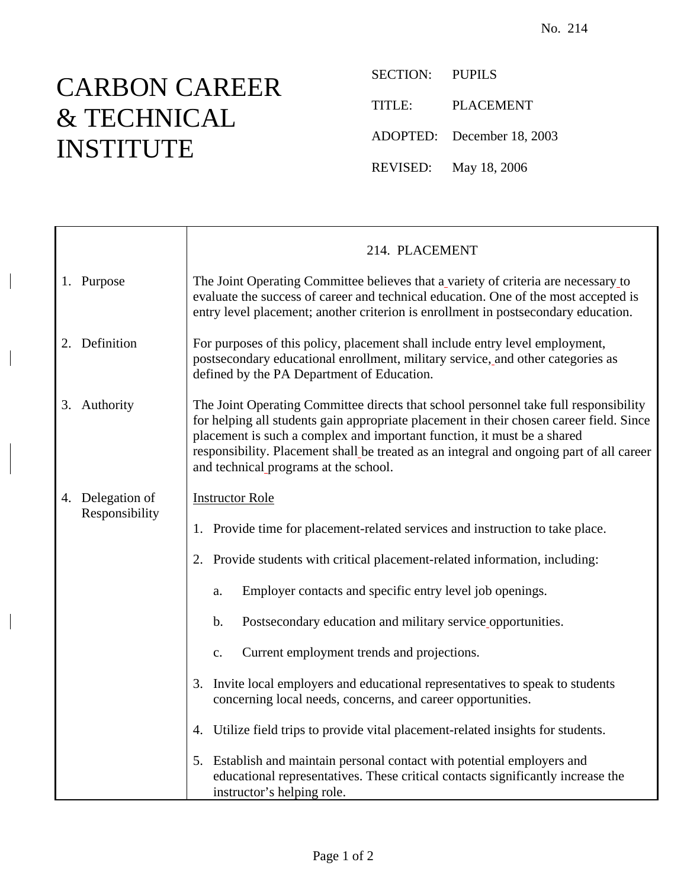## CARBON CAREER & TECHNICAL INSTITUTE

SECTION: PUPILS TITLE: PLACEMENT ADOPTED: December 18, 2003 REVISED: May 18, 2006

|                                    | 214. PLACEMENT                                                                                                                                                                                                                                                                                                                                                                                  |
|------------------------------------|-------------------------------------------------------------------------------------------------------------------------------------------------------------------------------------------------------------------------------------------------------------------------------------------------------------------------------------------------------------------------------------------------|
| 1. Purpose                         | The Joint Operating Committee believes that a variety of criteria are necessary to<br>evaluate the success of career and technical education. One of the most accepted is<br>entry level placement; another criterion is enrollment in postsecondary education.                                                                                                                                 |
| 2. Definition                      | For purposes of this policy, placement shall include entry level employment,<br>postsecondary educational enrollment, military service, and other categories as<br>defined by the PA Department of Education.                                                                                                                                                                                   |
| 3. Authority                       | The Joint Operating Committee directs that school personnel take full responsibility<br>for helping all students gain appropriate placement in their chosen career field. Since<br>placement is such a complex and important function, it must be a shared<br>responsibility. Placement shall be treated as an integral and ongoing part of all career<br>and technical programs at the school. |
| 4. Delegation of<br>Responsibility | <b>Instructor Role</b>                                                                                                                                                                                                                                                                                                                                                                          |
|                                    | Provide time for placement-related services and instruction to take place.<br>1.                                                                                                                                                                                                                                                                                                                |
|                                    | Provide students with critical placement-related information, including:<br>2.                                                                                                                                                                                                                                                                                                                  |
|                                    | Employer contacts and specific entry level job openings.<br>a.                                                                                                                                                                                                                                                                                                                                  |
|                                    | Postsecondary education and military service opportunities.<br>$\mathbf b$ .                                                                                                                                                                                                                                                                                                                    |
|                                    | Current employment trends and projections.<br>c.                                                                                                                                                                                                                                                                                                                                                |
|                                    | Invite local employers and educational representatives to speak to students<br>3.<br>concerning local needs, concerns, and career opportunities.                                                                                                                                                                                                                                                |
|                                    | Utilize field trips to provide vital placement-related insights for students.<br>4.                                                                                                                                                                                                                                                                                                             |
|                                    | 5. Establish and maintain personal contact with potential employers and<br>educational representatives. These critical contacts significantly increase the<br>instructor's helping role.                                                                                                                                                                                                        |